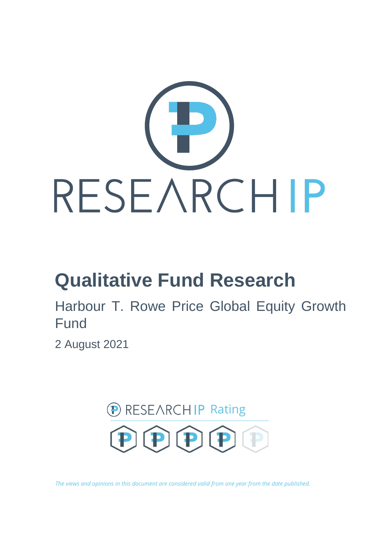

# **Qualitative Fund Research**

Harbour T. Rowe Price Global Equity Growth Fund

2 August 2021



*The views and opinions in this document are considered valid from one year from the date published.*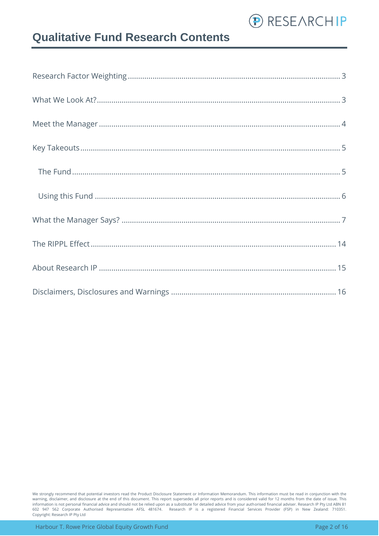

### **Qualitative Fund Research Contents**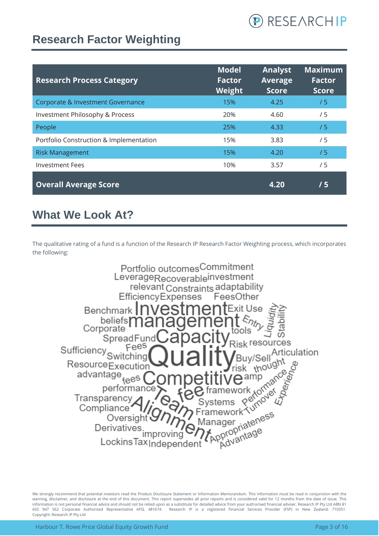

### <span id="page-2-0"></span>**Research Factor Weighting**

| <b>Research Process Category</b>        | <b>Model</b><br><b>Factor</b><br>Weight | <b>Analyst</b><br><b>Average</b><br><b>Score</b> | <b>Maximum</b><br><b>Factor</b><br>Score |
|-----------------------------------------|-----------------------------------------|--------------------------------------------------|------------------------------------------|
| Corporate & Investment Governance       | 15%                                     | 4.25                                             | /5                                       |
| Investment Philosophy & Process         | 20%                                     | 4.60                                             | / 5                                      |
| People                                  | 25%                                     | 4.33                                             | /5                                       |
| Portfolio Construction & Implementation | 15%                                     | 3.83                                             | /5                                       |
| <b>Risk Management</b>                  | 15%                                     | 4.20                                             | /5                                       |
| <b>Investment Fees</b>                  | 10%                                     | 3.57                                             | /5                                       |
| <b>Overall Average Score</b>            |                                         | 4.20                                             | /5                                       |

### <span id="page-2-1"></span>**What We Look At?**

The qualitative rating of a fund is a function of the Research IP Research Factor Weighting process, which incorporates the following:

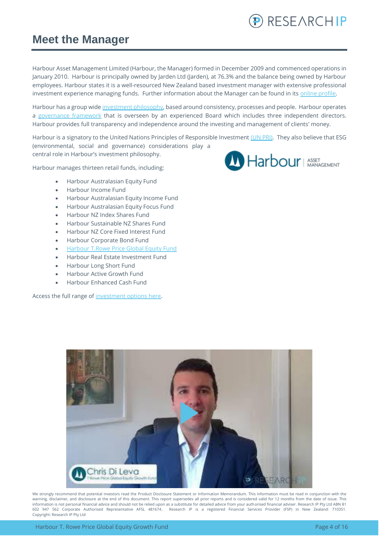

### <span id="page-3-0"></span>**Meet the Manager**

Harbour Asset Management Limited (Harbour, the Manager) formed in December 2009 and commenced operations in January 2010. Harbour is principally owned by Jarden Ltd (Jarden), at 76.3% and the balance being owned by Harbour employees. Harbour states it is a well-resourced New Zealand based investment manager with extensive professional investment experience managing funds. Further information about the Manager can be found in its online profile.

Harbour has a group wide [investment philosophy,](https://www.harbourasset.co.nz/about-us/investment-philosophy/) based around consistency, processes and people. Harbour operates a [governance framework](https://www.harbourasset.co.nz/about-us/corporate-responsibility/) that is overseen by an experienced Board which includes three independent directors. Harbour provides full transparency and independence around the investing and management of clients' money.

Harbour is a signatory to the United Nations Principles of Responsible Investment [\(UN PRI\).](https://www.harbourasset.co.nz/about-us/responsible-investing/) They also believe that ESG (environmental, social and governance) considerations play a central role in Harbour's investment philosophy.

Harbour manages thirteen retail funds, including:

- Harbour Australasian Equity Fund
- Harbour Income Fund
- Harbour Australasian Equity Income Fund
- Harbour Australasian Equity Focus Fund
- Harbour NZ Index Shares Fund
- Harbour Sustainable NZ Shares Fund
- Harbour NZ Core Fixed Interest Fund
- Harbour Corporate Bond Fund
- [Harbour T.Rowe Price Global Equity Fund](https://www.harbourasset.co.nz/our-funds/global-equity-fund/)
- Harbour Real Estate Investment Fund
- Harbour Long Short Fund
- Harbour Active Growth Fund
- Harbour Enhanced Cash Fund

Access the full range of [investment options here.](https://platform.research-ip.com/?filter=power&fund_managers=71)



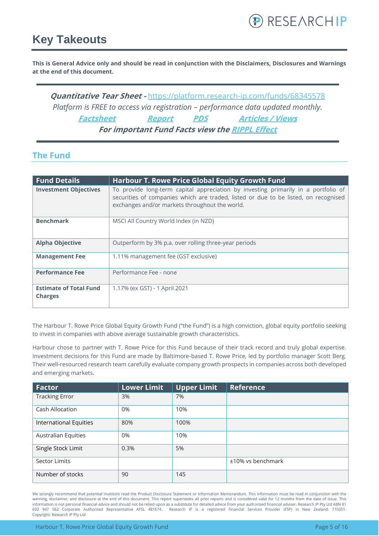

### <span id="page-4-0"></span>**Key Takeouts**

**This is General Advice only and should be read in conjunction with the Disclaimers, Disclosures and Warnings at the end of this document.**

**Quantitative Tear Sheet -** <https://platform.research-ip.com/funds/68345578> *Platform is FREE to access via registration – performance data updated monthly.* **[Factsheet](https://www.harbourasset.co.nz/our-funds/global-equity-fund/) [Report](https://www.harbourasset.co.nz/our-funds/global-equity-fund/) [PDS](https://www.harbourasset.co.nz/our-funds/investor-documents/) [Articles / Views](https://www.harbourasset.co.nz/research-and-commentary/) For important Fund Facts view th[e RIPPL Effect](https://research-ip.com/rippl-effect-reports/)**

### <span id="page-4-1"></span>**The Fund**

| <b>Fund Details</b>                             | <b>Harbour T. Rowe Price Global Equity Growth Fund</b>                                                                                                                                                                      |
|-------------------------------------------------|-----------------------------------------------------------------------------------------------------------------------------------------------------------------------------------------------------------------------------|
| <b>Investment Objectives</b>                    | To provide long-term capital appreciation by investing primarily in a portfolio of<br>securities of companies which are traded, listed or due to be listed, on recognised<br>exchanges and/or markets throughout the world. |
| <b>Benchmark</b>                                | MSCI All Country World Index (in NZD)                                                                                                                                                                                       |
| <b>Alpha Objective</b>                          | Outperform by 3% p.a. over rolling three-year periods                                                                                                                                                                       |
| <b>Management Fee</b>                           | 1.11% management fee (GST exclusive)                                                                                                                                                                                        |
| <b>Performance Fee</b>                          | Performance Fee - none                                                                                                                                                                                                      |
| <b>Estimate of Total Fund</b><br><b>Charges</b> | 1.17% (ex GST) - 1 April 2021                                                                                                                                                                                               |

The Harbour T. Rowe Price Global Equity Growth Fund ("the Fund") is a high conviction, global equity portfolio seeking to invest in companies with above average sustainable growth characteristics.

Harbour chose to partner with T. Rowe Price for this Fund because of their track record and truly global expertise. Investment decisions for this Fund are made by Baltimore-based T. Rowe Price, led by portfolio manager Scott Berg. Their well-resourced research team carefully evaluate company growth prospects in companies across both developed and emerging markets.

| <b>Factor</b>                 | <b>Lower Limit</b> | Upper Limit | <b>Reference</b>  |
|-------------------------------|--------------------|-------------|-------------------|
| <b>Tracking Error</b>         | 3%                 | 7%          |                   |
| Cash Allocation               | 0%                 | 10%         |                   |
| <b>International Equities</b> | 80%                | 100%        |                   |
| <b>Australian Equities</b>    | 0%                 | 10%         |                   |
| Single Stock Limit            | 0.3%               | 5%          |                   |
| Sector Limits                 |                    |             | ±10% vs benchmark |
| Number of stocks              | 90                 | 145         |                   |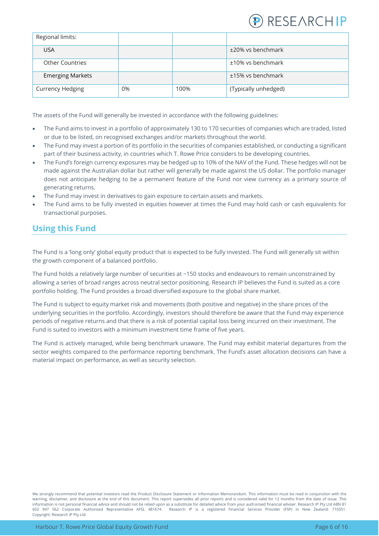

| Regional limits:        |    |      |                      |
|-------------------------|----|------|----------------------|
| <b>USA</b>              |    |      | ±20% vs benchmark    |
| <b>Other Countries</b>  |    |      | ±10% vs benchmark    |
| <b>Emerging Markets</b> |    |      | ±15% vs benchmark    |
| <b>Currency Hedging</b> | 0% | 100% | (Typically unhedged) |

The assets of the Fund will generally be invested in accordance with the following guidelines:

- The Fund aims to invest in a portfolio of approximately 130 to 170 securities of companies which are traded, listed or due to be listed, on recognised exchanges and/or markets throughout the world.
- The Fund may invest a portion of its portfolio in the securities of companies established, or conducting a significant part of their business activity, in countries which T. Rowe Price considers to be developing countries.
- The Fund's foreign currency exposures may be hedged up to 10% of the NAV of the Fund. These hedges will not be made against the Australian dollar but rather will generally be made against the US dollar. The portfolio manager does not anticipate hedging to be a permanent feature of the Fund nor view currency as a primary source of generating returns.
- The Fund may invest in derivatives to gain exposure to certain assets and markets.
- The Fund aims to be fully invested in equities however at times the Fund may hold cash or cash equivalents for transactional purposes.

### <span id="page-5-0"></span>**Using this Fund**

The Fund is a 'long only' global equity product that is expected to be fully invested. The Fund will generally sit within the growth component of a balanced portfolio.

The Fund holds a relatively large number of securities at ~150 stocks and endeavours to remain unconstrained by allowing a series of broad ranges across neutral sector positioning. Research IP believes the Fund is suited as a core portfolio holding. The Fund provides a broad diversified exposure to the global share market.

The Fund is subject to equity market risk and movements (both positive and negative) in the share prices of the underlying securities in the portfolio. Accordingly, investors should therefore be aware that the Fund may experience periods of negative returns and that there is a risk of potential capital loss being incurred on their investment. The Fund is suited to investors with a minimum investment time frame of five years.

The Fund is actively managed, while being benchmark unaware. The Fund may exhibit material departures from the sector weights compared to the performance reporting benchmark. The Fund's asset allocation decisions can have a material impact on performance, as well as security selection.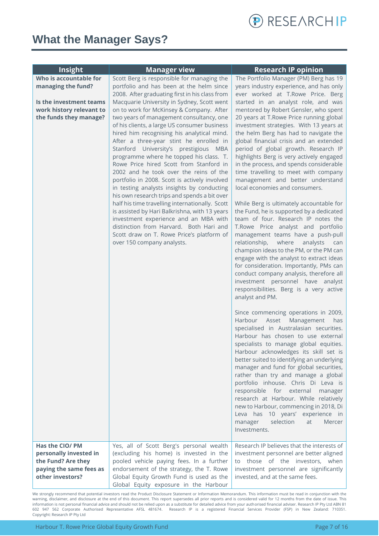

### <span id="page-6-0"></span>**What the Manager Says?**

| <b>Insight</b>                               | <b>Manager view</b>                                                                         | <b>Research IP opinion</b>                                                       |
|----------------------------------------------|---------------------------------------------------------------------------------------------|----------------------------------------------------------------------------------|
| Who is accountable for                       | Scott Berg is responsible for managing the                                                  | The Portfolio Manager (PM) Berg has 19                                           |
| managing the fund?                           | portfolio and has been at the helm since                                                    | years industry experience, and has only                                          |
|                                              | 2008. After graduating first in his class from                                              | ever worked at T.Rowe Price. Berg                                                |
| Is the investment teams                      | Macquarie University in Sydney, Scott went                                                  | started in an analyst role, and was                                              |
| work history relevant to                     | on to work for McKinsey & Company. After                                                    | mentored by Robert Gensler, who spent                                            |
| the funds they manage?                       | two years of management consultancy, one                                                    | 20 years at T.Rowe Price running global                                          |
|                                              | of his clients, a large US consumer business<br>hired him recognising his analytical mind.  | investment strategies. With 13 years at<br>the helm Berg has had to navigate the |
|                                              | After a three-year stint he enrolled in                                                     | global financial crisis and an extended                                          |
|                                              | Stanford University's prestigious MBA                                                       | period of global growth. Research IP                                             |
|                                              | programme where he topped his class. T.                                                     | highlights Berg is very actively engaged                                         |
|                                              | Rowe Price hired Scott from Stanford in                                                     | in the process, and spends considerable                                          |
|                                              | 2002 and he took over the reins of the                                                      | time travelling to meet with company                                             |
|                                              | portfolio in 2008. Scott is actively involved<br>in testing analysts insights by conducting | management and better understand<br>local economies and consumers.               |
|                                              | his own research trips and spends a bit over                                                |                                                                                  |
|                                              | half his time travelling internationally. Scott                                             | While Berg is ultimately accountable for                                         |
|                                              | is assisted by Hari Balkrishna, with 13 years                                               | the Fund, he is supported by a dedicated                                         |
|                                              | investment experience and an MBA with                                                       | team of four. Research IP notes the                                              |
|                                              | distinction from Harvard. Both Hari and                                                     | T.Rowe Price analyst and portfolio                                               |
|                                              | Scott draw on T. Rowe Price's platform of<br>over 150 company analysts.                     | management teams have a push-pull<br>where<br>relationship,<br>analysts<br>can   |
|                                              |                                                                                             | champion ideas to the PM, or the PM can                                          |
|                                              |                                                                                             | engage with the analyst to extract ideas                                         |
|                                              |                                                                                             | for consideration. Importantly, PMs can                                          |
|                                              |                                                                                             | conduct company analysis, therefore all                                          |
|                                              |                                                                                             | investment personnel have analyst                                                |
|                                              |                                                                                             | responsibilities. Berg is a very active                                          |
|                                              |                                                                                             | analyst and PM.                                                                  |
|                                              |                                                                                             | Since commencing operations in 2009,                                             |
|                                              |                                                                                             | Harbour<br>Asset<br>Management<br>has                                            |
|                                              |                                                                                             | specialised in Australasian securities.                                          |
|                                              |                                                                                             | Harbour has chosen to use external                                               |
|                                              |                                                                                             | specialists to manage global equities.<br>Harbour acknowledges its skill set is  |
|                                              |                                                                                             | better suited to identifying an underlying                                       |
|                                              |                                                                                             | manager and fund for global securities,                                          |
|                                              |                                                                                             | rather than try and manage a global                                              |
|                                              |                                                                                             | portfolio inhouse. Chris Di Leva is                                              |
|                                              |                                                                                             | responsible for external<br>manager                                              |
|                                              |                                                                                             | research at Harbour. While relatively                                            |
|                                              |                                                                                             | new to Harbour, commencing in 2018, Di<br>Leva has 10 years' experience in       |
|                                              |                                                                                             | selection<br>at<br>Mercer<br>manager                                             |
|                                              |                                                                                             | Investments.                                                                     |
|                                              |                                                                                             |                                                                                  |
| Has the CIO/ PM                              | Yes, all of Scott Berg's personal wealth                                                    | Research IP believes that the interests of                                       |
| personally invested in<br>the Fund? Are they | (excluding his home) is invested in the<br>pooled vehicle paying fees. In a further         | investment personnel are better aligned<br>to those of the investors, when       |
| paying the same fees as                      | endorsement of the strategy, the T. Rowe                                                    | investment personnel are significantly                                           |
| other investors?                             | Global Equity Growth Fund is used as the                                                    | invested, and at the same fees.                                                  |
|                                              | Global Equity exposure in the Harbour                                                       |                                                                                  |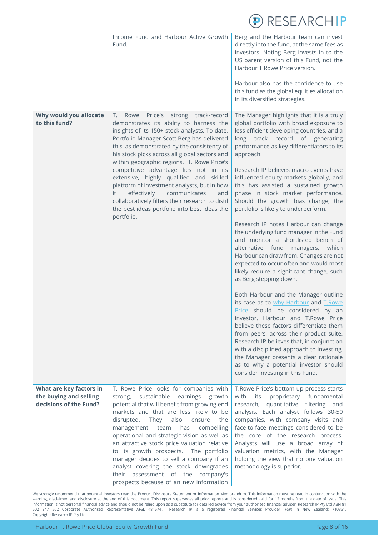

|                                                                             | Income Fund and Harbour Active Growth<br>Fund.                                                                                                                                                                                                                                                                                                                                                                                                                                                                                                                                                                                      | Berg and the Harbour team can invest<br>directly into the fund, at the same fees as<br>investors. Noting Berg invests in to the<br>US parent version of this Fund, not the<br>Harbour T.Rowe Price version.<br>Harbour also has the confidence to use<br>this fund as the global equities allocation<br>in its diversified strategies.                                                                                                                                                                                                                                                                                                                                                                                                                                                                                                                                                                                                                                                                                                                                                                                                                                                                                                                                         |
|-----------------------------------------------------------------------------|-------------------------------------------------------------------------------------------------------------------------------------------------------------------------------------------------------------------------------------------------------------------------------------------------------------------------------------------------------------------------------------------------------------------------------------------------------------------------------------------------------------------------------------------------------------------------------------------------------------------------------------|--------------------------------------------------------------------------------------------------------------------------------------------------------------------------------------------------------------------------------------------------------------------------------------------------------------------------------------------------------------------------------------------------------------------------------------------------------------------------------------------------------------------------------------------------------------------------------------------------------------------------------------------------------------------------------------------------------------------------------------------------------------------------------------------------------------------------------------------------------------------------------------------------------------------------------------------------------------------------------------------------------------------------------------------------------------------------------------------------------------------------------------------------------------------------------------------------------------------------------------------------------------------------------|
| Why would you allocate<br>to this fund?                                     | Τ.<br>strong track-record<br>Rowe Price's<br>demonstrates its ability to harness the<br>insights of its 150+ stock analysts. To date,<br>Portfolio Manager Scott Berg has delivered<br>this, as demonstrated by the consistency of<br>his stock picks across all global sectors and<br>within geographic regions. T. Rowe Price's<br>competitive advantage lies not in its<br>extensive, highly qualified and skilled<br>platform of investment analysts, but in how<br>effectively<br>communicates<br>it.<br>and<br>collaboratively filters their research to distil<br>the best ideas portfolio into best ideas the<br>portfolio. | The Manager highlights that it is a truly<br>global portfolio with broad exposure to<br>less efficient developing countries, and a<br>long track record of generating<br>performance as key differentiators to its<br>approach.<br>Research IP believes macro events have<br>influenced equity markets globally, and<br>this has assisted a sustained growth<br>phase in stock market performance.<br>Should the growth bias change, the<br>portfolio is likely to underperform.<br>Research IP notes Harbour can change<br>the underlying fund manager in the Fund<br>and monitor a shortlisted bench of<br>alternative fund<br>managers, which<br>Harbour can draw from. Changes are not<br>expected to occur often and would most<br>likely require a significant change, such<br>as Berg stepping down.<br>Both Harbour and the Manager outline<br>its case as to why Harbour and T.Rowe<br>Price should be considered by an<br>investor. Harbour and T.Rowe Price<br>believe these factors differentiate them<br>from peers, across their product suite.<br>Research IP believes that, in conjunction<br>with a disciplined approach to investing,<br>the Manager presents a clear rationale<br>as to why a potential investor should<br>consider investing in this Fund. |
| What are key factors in<br>the buying and selling<br>decisions of the Fund? | T. Rowe Price looks for companies with<br>sustainable<br>earnings<br>growth<br>strong,<br>potential that will benefit from growing end<br>markets and that are less likely to be<br>disrupted.<br>also<br>They<br>ensure<br>the<br>compelling<br>management<br>team<br>has<br>operational and strategic vision as well as<br>an attractive stock price valuation relative<br>to its growth prospects. The portfolio<br>manager decides to sell a company if an<br>analyst covering the stock downgrades<br>assessment of the company's<br>their<br>prospects because of an new information                                          | T. Rowe Price's bottom up process starts<br>proprietary<br>fundamental<br>with<br>its<br>quantitative filtering<br>research,<br>and<br>analysis. Each analyst follows 30-50<br>companies, with company visits and<br>face-to-face meetings considered to be<br>the core of the research process.<br>Analysts will use a broad array of<br>valuation metrics, with the Manager<br>holding the view that no one valuation<br>methodology is superior.                                                                                                                                                                                                                                                                                                                                                                                                                                                                                                                                                                                                                                                                                                                                                                                                                            |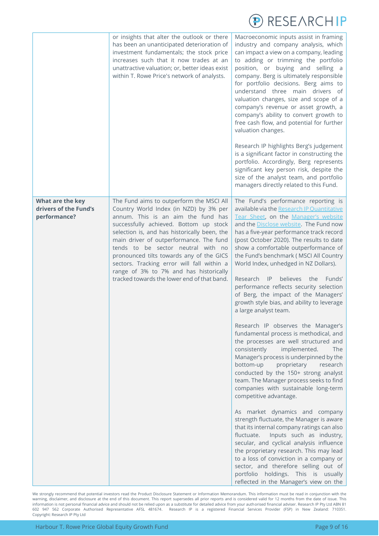

|                                                           | or insights that alter the outlook or there<br>has been an unanticipated deterioration of<br>investment fundamentals; the stock price<br>increases such that it now trades at an<br>unattractive valuation; or, better ideas exist<br>within T. Rowe Price's network of analysts.                                                                                                                                                                                                      | Macroeconomic inputs assist in framing<br>industry and company analysis, which<br>can impact a view on a company, leading<br>to adding or trimming the portfolio<br>position, or buying and selling a<br>company. Berg is ultimately responsible<br>for portfolio decisions. Berg aims to<br>understand three main drivers of<br>valuation changes, size and scope of a<br>company's revenue or asset growth, a<br>company's ability to convert growth to<br>free cash flow, and potential for further<br>valuation changes.<br>Research IP highlights Berg's judgement<br>is a significant factor in constructing the<br>portfolio. Accordingly, Berg represents<br>significant key person risk, despite the<br>size of the analyst team, and portfolio<br>managers directly related to this Fund.                                                                                                                                                                                                                                                                                                                                                                                                                                                                                                                                                                                                                                                        |
|-----------------------------------------------------------|----------------------------------------------------------------------------------------------------------------------------------------------------------------------------------------------------------------------------------------------------------------------------------------------------------------------------------------------------------------------------------------------------------------------------------------------------------------------------------------|------------------------------------------------------------------------------------------------------------------------------------------------------------------------------------------------------------------------------------------------------------------------------------------------------------------------------------------------------------------------------------------------------------------------------------------------------------------------------------------------------------------------------------------------------------------------------------------------------------------------------------------------------------------------------------------------------------------------------------------------------------------------------------------------------------------------------------------------------------------------------------------------------------------------------------------------------------------------------------------------------------------------------------------------------------------------------------------------------------------------------------------------------------------------------------------------------------------------------------------------------------------------------------------------------------------------------------------------------------------------------------------------------------------------------------------------------------|
| What are the key<br>drivers of the Fund's<br>performance? | The Fund aims to outperform the MSCI All<br>Country World Index (in NZD) by 3% per<br>annum. This is an aim the fund has<br>successfully achieved. Bottom up stock<br>selection is, and has historically been, the<br>main driver of outperformance. The fund<br>tends to be sector neutral with no<br>pronounced tilts towards any of the GICS<br>sectors. Tracking error will fall within a<br>range of 3% to 7% and has historically<br>tracked towards the lower end of that band. | The Fund's performance reporting is<br>available via the Research IP Quantitative<br>Tear Sheet, on the Manager's website<br>and the Disclose website. The Fund now<br>has a five-year performance track record<br>(post October 2020). The results to date<br>show a comfortable outperformance of<br>the Fund's benchmark (MSCI All Country<br>World Index, unhedged in NZ Dollars).<br>Research<br>$\mathsf{IP}$<br>believes<br>the<br>Funds'<br>performance reflects security selection<br>of Berg, the impact of the Managers'<br>growth style bias, and ability to leverage<br>a large analyst team.<br>Research IP observes the Manager's<br>fundamental process is methodical, and<br>the processes are well structured and<br>consistently<br>implemented.<br><b>The</b><br>Manager's process is underpinned by the<br>bottom-up<br>proprietary<br>research<br>conducted by the 150+ strong analyst<br>team. The Manager process seeks to find<br>companies with sustainable long-term<br>competitive advantage.<br>As market dynamics and company<br>strength fluctuate, the Manager is aware<br>that its internal company ratings can also<br>Inputs such as industry,<br>fluctuate.<br>secular, and cyclical analysis influence<br>the proprietary research. This may lead<br>to a loss of conviction in a company or<br>sector, and therefore selling out of<br>portfolio holdings. This is usually<br>reflected in the Manager's view on the |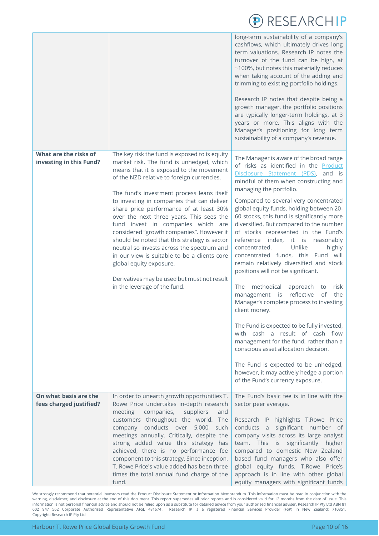|                                                  |                                                                                                                                                                                                                                                                                                                                                                                                                                                                                                                                                                                                                                                                                                                   | long-term sustainability of a company's<br>cashflows, which ultimately drives long<br>term valuations. Research IP notes the<br>turnover of the fund can be high, at<br>~100%, but notes this materially reduces<br>when taking account of the adding and<br>trimming to existing portfolio holdings.<br>Research IP notes that despite being a<br>growth manager, the portfolio positions<br>are typically longer-term holdings, at 3<br>years or more. This aligns with the<br>Manager's positioning for long term<br>sustainability of a company's revenue.                                                                                                                                                                                                                                                                                                                                                                                                                                                                                                     |
|--------------------------------------------------|-------------------------------------------------------------------------------------------------------------------------------------------------------------------------------------------------------------------------------------------------------------------------------------------------------------------------------------------------------------------------------------------------------------------------------------------------------------------------------------------------------------------------------------------------------------------------------------------------------------------------------------------------------------------------------------------------------------------|--------------------------------------------------------------------------------------------------------------------------------------------------------------------------------------------------------------------------------------------------------------------------------------------------------------------------------------------------------------------------------------------------------------------------------------------------------------------------------------------------------------------------------------------------------------------------------------------------------------------------------------------------------------------------------------------------------------------------------------------------------------------------------------------------------------------------------------------------------------------------------------------------------------------------------------------------------------------------------------------------------------------------------------------------------------------|
| What are the risks of<br>investing in this Fund? | The key risk the fund is exposed to is equity<br>market risk. The fund is unhedged, which<br>means that it is exposed to the movement<br>of the NZD relative to foreign currencies.<br>The fund's investment process leans itself<br>to investing in companies that can deliver<br>share price performance of at least 30%<br>over the next three years. This sees the<br>fund invest in companies which are<br>considered "growth companies". However it<br>should be noted that this strategy is sector<br>neutral so invests across the spectrum and<br>in our view is suitable to be a clients core<br>global equity exposure.<br>Derivatives may be used but must not result<br>in the leverage of the fund. | The Manager is aware of the broad range<br>of risks as identified in the Product<br>Disclosure Statement (PDS), and is<br>mindful of them when constructing and<br>managing the portfolio.<br>Compared to several very concentrated<br>global equity funds, holding between 20-<br>60 stocks, this fund is significantly more<br>diversified. But compared to the number<br>of stocks represented in the Fund's<br>reference index, it is<br>reasonably<br>Unlike<br>highly<br>concentrated.<br>concentrated funds, this Fund will<br>remain relatively diversified and stock<br>positions will not be significant.<br>The methodical<br>approach<br>risk<br>to<br>reflective<br>management is<br>of<br>the<br>Manager's complete process to investing<br>client money.<br>The Fund is expected to be fully invested,<br>with cash a result of cash flow<br>management for the fund, rather than a<br>conscious asset allocation decision.<br>The Fund is expected to be unhedged,<br>however, it may actively hedge a portion<br>of the Fund's currency exposure. |
| On what basis are the<br>fees charged justified? | In order to unearth growth opportunities T.<br>Rowe Price undertakes in-depth research<br>meeting<br>companies,<br>suppliers<br>and<br>customers throughout the world. The<br>company conducts over 5,000<br>such<br>meetings annually. Critically, despite the<br>strong added value this strategy has<br>achieved, there is no performance fee<br>component to this strategy. Since inception,<br>T. Rowe Price's value added has been three<br>times the total annual fund charge of the<br>fund.                                                                                                                                                                                                              | The Fund's basic fee is in line with the<br>sector peer average.<br>Research IP highlights T.Rowe Price<br>conducts a significant number of<br>company visits across its large analyst<br>team. This is significantly higher<br>compared to domestic New Zealand<br>based fund managers who also offer<br>global equity funds. T.Rowe Price's<br>approach is in line with other global<br>equity managers with significant funds                                                                                                                                                                                                                                                                                                                                                                                                                                                                                                                                                                                                                                   |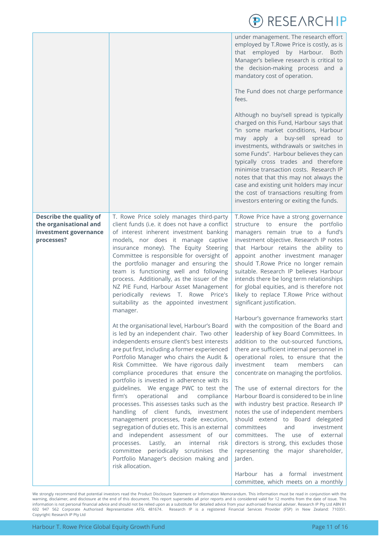|                                                                                                 |                                                                                                                                                                                                                                                                                                                                                                                                                                                                                                                                                                                                                                                                                                                                                                                                                                                | RESEARCHIP                                                                                                                                                                                                                                                                                                                                                                                                                                                                                                                                                                                                                                                                                                                                                           |
|-------------------------------------------------------------------------------------------------|------------------------------------------------------------------------------------------------------------------------------------------------------------------------------------------------------------------------------------------------------------------------------------------------------------------------------------------------------------------------------------------------------------------------------------------------------------------------------------------------------------------------------------------------------------------------------------------------------------------------------------------------------------------------------------------------------------------------------------------------------------------------------------------------------------------------------------------------|----------------------------------------------------------------------------------------------------------------------------------------------------------------------------------------------------------------------------------------------------------------------------------------------------------------------------------------------------------------------------------------------------------------------------------------------------------------------------------------------------------------------------------------------------------------------------------------------------------------------------------------------------------------------------------------------------------------------------------------------------------------------|
|                                                                                                 |                                                                                                                                                                                                                                                                                                                                                                                                                                                                                                                                                                                                                                                                                                                                                                                                                                                | under management. The research effort<br>employed by T.Rowe Price is costly, as is<br>that employed by Harbour. Both<br>Manager's believe research is critical to<br>the decision-making process and a<br>mandatory cost of operation.                                                                                                                                                                                                                                                                                                                                                                                                                                                                                                                               |
|                                                                                                 |                                                                                                                                                                                                                                                                                                                                                                                                                                                                                                                                                                                                                                                                                                                                                                                                                                                | The Fund does not charge performance<br>fees.                                                                                                                                                                                                                                                                                                                                                                                                                                                                                                                                                                                                                                                                                                                        |
|                                                                                                 |                                                                                                                                                                                                                                                                                                                                                                                                                                                                                                                                                                                                                                                                                                                                                                                                                                                | Although no buy/sell spread is typically<br>charged on this Fund, Harbour says that<br>"in some market conditions, Harbour<br>may apply a buy-sell spread to<br>investments, withdrawals or switches in<br>some Funds". Harbour believes they can<br>typically cross trades and therefore<br>minimise transaction costs. Research IP<br>notes that that this may not always the<br>case and existing unit holders may incur<br>the cost of transactions resulting from<br>investors entering or exiting the funds.                                                                                                                                                                                                                                                   |
| <b>Describe the quality of</b><br>the organisational and<br>investment governance<br>processes? | T. Rowe Price solely manages third-party<br>client funds (i.e. it does not have a conflict<br>of interest inherent investment banking<br>models, nor does it manage captive<br>insurance money). The Equity Steering<br>Committee is responsible for oversight of<br>the portfolio manager and ensuring the<br>team is functioning well and following<br>process. Additionally, as the issuer of the<br>NZ PIE Fund, Harbour Asset Management<br>periodically reviews T. Rowe Price's<br>suitability as the appointed investment<br>manager.                                                                                                                                                                                                                                                                                                   | T.Rowe Price have a strong governance<br>structure to ensure the portfolio<br>managers remain true to a fund's<br>investment objective. Research IP notes<br>that Harbour retains the ability to<br>appoint another investment manager<br>should T.Rowe Price no longer remain<br>suitable. Research IP believes Harbour<br>intends there be long term relationships<br>for global equities, and is therefore not<br>likely to replace T.Rowe Price without<br>significant justification.                                                                                                                                                                                                                                                                            |
|                                                                                                 | At the organisational level, Harbour's Board<br>is led by an independent chair. Two other<br>independents ensure client's best interests<br>are put first, including a former experienced<br>Portfolio Manager who chairs the Audit &<br>Risk Committee. We have rigorous daily<br>compliance procedures that ensure the<br>portfolio is invested in adherence with its<br>guidelines. We engage PWC to test the<br>operational<br>firm's<br>and<br>compliance<br>processes. This assesses tasks such as the<br>handling of client funds, investment<br>management processes, trade execution,<br>segregation of duties etc. This is an external<br>and independent assessment of our<br>processes. Lastly,<br>an<br>internal<br>risk<br>committee periodically scrutinises the<br>Portfolio Manager's decision making and<br>risk allocation. | Harbour's governance frameworks start<br>with the composition of the Board and<br>leadership of key Board Committees. In<br>addition to the out-sourced functions,<br>there are sufficient internal personnel in<br>operational roles, to ensure that the<br>investment<br>team<br>members<br>can<br>concentrate on managing the portfolios.<br>The use of external directors for the<br>Harbour Board is considered to be in line<br>with industry best practice. Research IP<br>notes the use of independent members<br>should extend to Board delegated<br>committees<br>and<br>investment<br>committees. The use<br>of external<br>directors is strong, this excludes those<br>representing the major shareholder,<br>Jarden.<br>Harbour has a formal investment |
|                                                                                                 |                                                                                                                                                                                                                                                                                                                                                                                                                                                                                                                                                                                                                                                                                                                                                                                                                                                | committee, which meets on a monthly                                                                                                                                                                                                                                                                                                                                                                                                                                                                                                                                                                                                                                                                                                                                  |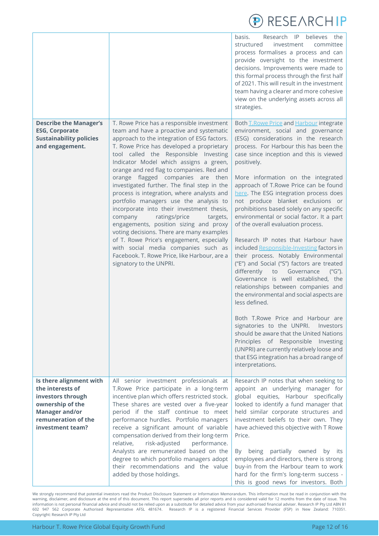

|                                                                                                                                                          |                                                                                                                                                                                                                                                                                                                                                                                                                                                                                                                                                                                                                                                                                                                                                                                                                                           | Research IP believes the<br>basis.<br>structured<br>investment<br>committee<br>process formalises a process and can<br>provide oversight to the investment<br>decisions. Improvements were made to<br>this formal process through the first half<br>of 2021. This will result in the investment<br>team having a clearer and more cohesive<br>view on the underlying assets across all<br>strategies.                                                                                                                                                                                                                                                                                                                                                                                                                                                                                                                                                                                                                                                                                                                                                               |
|----------------------------------------------------------------------------------------------------------------------------------------------------------|-------------------------------------------------------------------------------------------------------------------------------------------------------------------------------------------------------------------------------------------------------------------------------------------------------------------------------------------------------------------------------------------------------------------------------------------------------------------------------------------------------------------------------------------------------------------------------------------------------------------------------------------------------------------------------------------------------------------------------------------------------------------------------------------------------------------------------------------|---------------------------------------------------------------------------------------------------------------------------------------------------------------------------------------------------------------------------------------------------------------------------------------------------------------------------------------------------------------------------------------------------------------------------------------------------------------------------------------------------------------------------------------------------------------------------------------------------------------------------------------------------------------------------------------------------------------------------------------------------------------------------------------------------------------------------------------------------------------------------------------------------------------------------------------------------------------------------------------------------------------------------------------------------------------------------------------------------------------------------------------------------------------------|
| <b>Describe the Manager's</b><br><b>ESG, Corporate</b><br><b>Sustainability policies</b><br>and engagement.                                              | T. Rowe Price has a responsible investment<br>team and have a proactive and systematic<br>approach to the integration of ESG factors.<br>T. Rowe Price has developed a proprietary<br>tool called the Responsible Investing<br>Indicator Model which assigns a green,<br>orange and red flag to companies. Red and<br>orange flagged companies are then<br>investigated further. The final step in the<br>process is integration, where analysts and<br>portfolio managers use the analysis to<br>incorporate into their investment thesis,<br>ratings/price<br>company<br>targets,<br>engagements, position sizing and proxy<br>voting decisions. There are many examples<br>of T. Rowe Price's engagement, especially<br>with social media companies such as<br>Facebook. T. Rowe Price, like Harbour, are a<br>signatory to the UNPRI. | Both T.Rowe Price and Harbour integrate<br>environment, social and governance<br>(ESG) considerations in the research<br>process. For Harbour this has been the<br>case since inception and this is viewed<br>positively.<br>More information on the integrated<br>approach of T.Rowe Price can be found<br>here. The ESG integration process does<br>not produce blanket exclusions or<br>prohibitions based solely on any specific<br>environmental or social factor. It a part<br>of the overall evaluation process.<br>Research IP notes that Harbour have<br>included Responsible-Investing factors in<br>their process. Notably Environmental<br>("E") and Social ("S") factors are treated<br>differently to Governance<br>("G").<br>Governance is well established, the<br>relationships between companies and<br>the environmental and social aspects are<br>less defined.<br>Both T.Rowe Price and Harbour are<br>signatories to the UNPRI.<br>Investors<br>should be aware that the United Nations<br>Principles of Responsible Investing<br>(UNPRI) are currently relatively loose and<br>that ESG integration has a broad range of<br>interpretations. |
| Is there alignment with<br>the interests of<br>investors through<br>ownership of the<br><b>Manager and/or</b><br>remuneration of the<br>investment team? | All senior investment professionals at<br>T.Rowe Price participate in a long-term<br>incentive plan which offers restricted stock.<br>These shares are vested over a five-year<br>period if the staff continue to meet<br>performance hurdles. Portfolio managers<br>receive a significant amount of variable<br>compensation derived from their long-term<br>relative,<br>risk-adjusted<br>performance.<br>Analysts are remunerated based on the<br>degree to which portfolio managers adopt<br>their recommendations and the value<br>added by those holdings.                                                                                                                                                                                                                                                                          | Research IP notes that when seeking to<br>appoint an underlying manager for<br>global equities, Harbour specifically<br>looked to identify a fund manager that<br>held similar corporate structures and<br>investment beliefs to their own. They<br>have achieved this objective with T Rowe<br>Price.<br>By being partially owned<br>by its<br>employees and directors, there is strong<br>buy-in from the Harbour team to work<br>hard for the firm's long-term success -<br>this is good news for investors. Both                                                                                                                                                                                                                                                                                                                                                                                                                                                                                                                                                                                                                                                |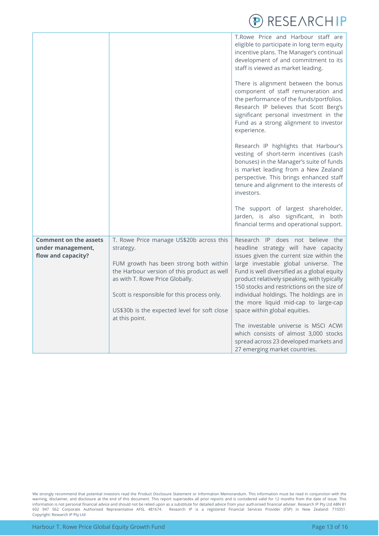

<span id="page-12-0"></span>

|                                                                         |                                                                                                                                                                                                                                                                                                    | T.Rowe Price and Harbour staff are<br>eligible to participate in long term equity<br>incentive plans. The Manager's continual<br>development of and commitment to its<br>staff is viewed as market leading.<br>There is alignment between the bonus<br>component of staff remuneration and<br>the performance of the funds/portfolios.<br>Research IP believes that Scott Berg's<br>significant personal investment in the<br>Fund as a strong alignment to investor<br>experience.<br>Research IP highlights that Harbour's<br>vesting of short-term incentives (cash<br>bonuses) in the Manager's suite of funds<br>is market leading from a New Zealand<br>perspective. This brings enhanced staff<br>tenure and alignment to the interests of<br>investors. |
|-------------------------------------------------------------------------|----------------------------------------------------------------------------------------------------------------------------------------------------------------------------------------------------------------------------------------------------------------------------------------------------|-----------------------------------------------------------------------------------------------------------------------------------------------------------------------------------------------------------------------------------------------------------------------------------------------------------------------------------------------------------------------------------------------------------------------------------------------------------------------------------------------------------------------------------------------------------------------------------------------------------------------------------------------------------------------------------------------------------------------------------------------------------------|
|                                                                         |                                                                                                                                                                                                                                                                                                    | The support of largest shareholder,<br>Jarden, is also significant, in both<br>financial terms and operational support.                                                                                                                                                                                                                                                                                                                                                                                                                                                                                                                                                                                                                                         |
| <b>Comment on the assets</b><br>under management,<br>flow and capacity? | T. Rowe Price manage US\$20b across this<br>strategy.<br>FUM growth has been strong both within<br>the Harbour version of this product as well<br>as with T. Rowe Price Globally.<br>Scott is responsible for this process only.<br>US\$30b is the expected level for soft close<br>at this point. | Research IP does not believe the<br>headline strategy will have capacity<br>issues given the current size within the<br>large investable global universe. The<br>Fund is well diversified as a global equity<br>product relatively speaking, with typically<br>150 stocks and restrictions on the size of<br>individual holdings. The holdings are in<br>the more liquid mid-cap to large-cap<br>space within global equities.                                                                                                                                                                                                                                                                                                                                  |
|                                                                         |                                                                                                                                                                                                                                                                                                    | The investable universe is MSCI ACWI<br>which consists of almost 3,000 stocks<br>spread across 23 developed markets and<br>27 emerging market countries.                                                                                                                                                                                                                                                                                                                                                                                                                                                                                                                                                                                                        |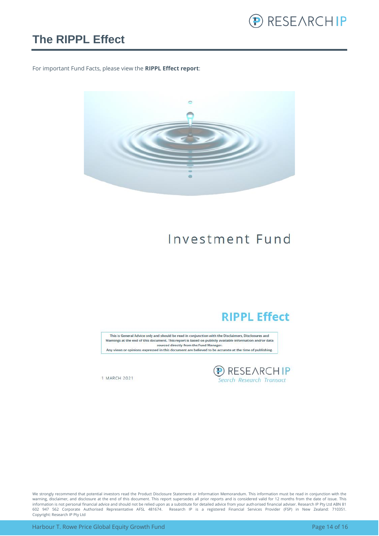

### **The RIPPL Effect**

For important Fund Facts, please view the **RIPPL Effect report**:



## Investment Fund

### **RIPPL Effect**

This is General Advice only and should be read in conjunction with the Disclaimers, Disclosures and Warnings at the end of this document. This report is based on publicly available information and/or data sourced directly from the Fund Manager. Any views or opinions expressed in this document are believed to be accurate at the time of publishing.

**D** RESEARCHIP<br>Search Research Transact

1 MARCH 2021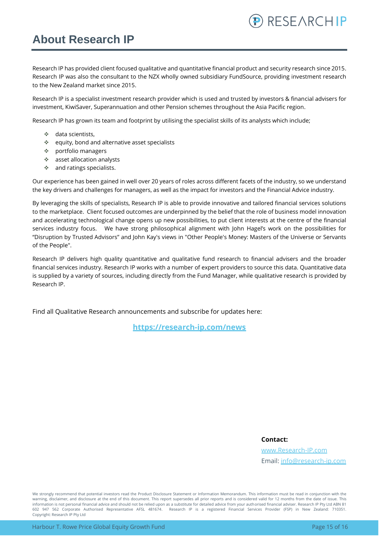### <span id="page-14-0"></span>**About Research IP**

Research IP has provided client focused qualitative and quantitative financial product and security research since 2015. Research IP was also the consultant to the NZX wholly owned subsidiary FundSource, providing investment research to the New Zealand market since 2015.

Research IP is a specialist investment research provider which is used and trusted by investors & financial advisers for investment, KiwiSaver, Superannuation and other Pension schemes throughout the Asia Pacific region.

Research IP has grown its team and footprint by utilising the specialist skills of its analysts which include;

- ❖ data scientists,
- ❖ equity, bond and alternative asset specialists
- ❖ portfolio managers
- ❖ asset allocation analysts
- ❖ and ratings specialists.

Our experience has been gained in well over 20 years of roles across different facets of the industry, so we understand the key drivers and challenges for managers, as well as the impact for investors and the Financial Advice industry.

By leveraging the skills of specialists, Research IP is able to provide innovative and tailored financial services solutions to the marketplace. Client focused outcomes are underpinned by the belief that the role of business model innovation and accelerating technological change opens up new possibilities, to put client interests at the centre of the financial services industry focus. We have strong philosophical alignment with John Hagel's work on the possibilities for "Disruption by Trusted Advisors" and John Kay's views in "Other People's Money: Masters of the Universe or Servants of the People".

Research IP delivers high quality quantitative and qualitative fund research to financial advisers and the broader financial services industry. Research IP works with a number of expert providers to source this data. Quantitative data is supplied by a variety of sources, including directly from the Fund Manager, while qualitative research is provided by Research IP.

Find all Qualitative Research announcements and subscribe for updates here:

**[https://research-ip.com/news](https://research-ip.com/category/qualitative-research/)**

**Contact:**

[www.Research-IP.com](http://www.research-ip.com/) Email: [info@research-ip.com](mailto:info@research-ip.com)

RESEARCHIP